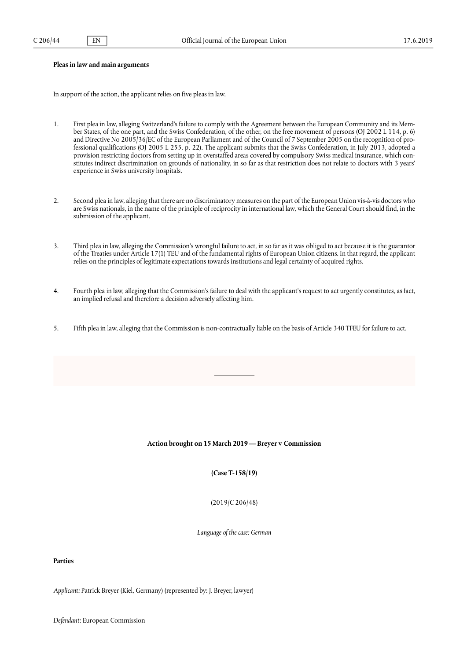# **Pleas in law and main arguments**

In support of the action, the applicant relies on five pleas in law.

- 1. First plea in law, alleging Switzerland's failure to comply with the Agreement between the European Community and its Member States, of the one part, and the Swiss Confederation, of the other, on the free movement of persons (OJ 2002 L 114, p. 6) and Directive No 2005/36/EC of the European Parliament and of the Council of 7 September 2005 on the recognition of professional qualifications (OJ 2005 L 255, p. 22). The applicant submits that the Swiss Confederation, in July 2013, adopted a provision restricting doctors from setting up in overstaffed areas covered by compulsory Swiss medical insurance, which constitutes indirect discrimination on grounds of nationality, in so far as that restriction does not relate to doctors with 3 years' experience in Swiss university hospitals.
- 2. Second plea in law, alleging that there are no discriminatory measures on the part of the European Union vis-à-vis doctors who are Swiss nationals, in the name of the principle of reciprocity in international law, which the General Court should find, in the submission of the applicant.
- 3. Third plea in law, alleging the Commission's wrongful failure to act, in so far as it was obliged to act because it is the guarantor of the Treaties under Article 17(1) TEU and of the fundamental rights of European Union citizens. In that regard, the applicant relies on the principles of legitimate expectations towards institutions and legal certainty of acquired rights.
- 4. Fourth plea in law, alleging that the Commission's failure to deal with the applicant's request to act urgently constitutes, as fact, an implied refusal and therefore a decision adversely affecting him.
- 5. Fifth plea in law, alleging that the Commission is non-contractually liable on the basis of Article 340 TFEU for failure to act.

### Action brought on 15 March 2019 — Breyer v Commission

**(Case T-158/19)**

(2019/C 206/48)

*Language of the case: German*

# **Parties**

*Applicant:* Patrick Breyer (Kiel, Germany) (represented by: J. Breyer, lawyer)